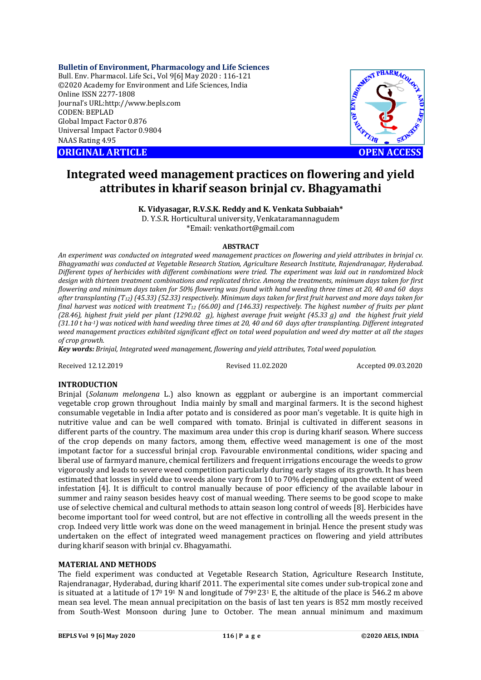**Bulletin of Environment, Pharmacology and Life Sciences**

Bull. Env. Pharmacol. Life Sci., Vol 9[6] May 2020 : 116-121 ©2020 Academy for Environment and Life Sciences, India Online ISSN 2277-1808 Journal's URL:<http://www.bepls.com> CODEN: BEPLAD Global Impact Factor 0.876 Universal Impact Factor 0.9804 NAAS Rating 4.95





# **Integrated weed management practices on flowering and yield attributes in kharif season brinjal cv. Bhagyamathi**

**K. Vidyasagar, R.V.S.K. Reddy and K. Venkata Subbaiah\***

D. Y.S.R. Horticultural university, Venkataramannagudem \*Email: [venkathort@gmail.com](mailto:venkathort@gmail.com)

# **ABSTRACT**

*An experiment was conducted on integrated weed management practices on flowering and yield attributes in brinjal cv. Bhagyamathi was conducted at Vegetable Research Station, Agriculture Research Institute, Rajendranagar, Hyderabad. Different types of herbicides with different combinations were tried. The experiment was laid out in randomized block design with thirteen treatment combinations and replicated thrice. Among the treatments, minimum days taken for first flowering and minimum days taken for 50% flowering was found with hand weeding three times at 20, 40 and 60 days after transplanting (T12) (45.33) (52.33) respectively. Minimum days taken for first fruit harvest and more days taken for final harvest was noticed with treatment T<sup>12</sup> (66.00) and (146.33) respectively. The highest number of fruits per plant (28.46), highest fruit yield per plant (1290.02 g), highest average fruit weight (45.33 g) and the highest fruit yield (31.10 t ha-1) was noticed with hand weeding three times at 20, 40 and 60 days after transplanting. Different integrated weed management practices exhibited significant effect on total weed population and weed dry matter at all the stages of crop growth.*

*Key words: Brinjal, Integrated weed management, flowering and yield attributes, Total weed population.*

Received 12.12.2019 Revised 11.02.2020 Accepted 09.03.2020

# **INTRODUCTION**

Brinjal (*Solanum melongena* L.) also known as eggplant or aubergine is an important commercial vegetable crop grown throughout India mainly by small and marginal farmers. It is the second highest consumable vegetable in India after potato and is considered as poor man's vegetable. It is quite high in nutritive value and can be well compared with tomato. Brinjal is cultivated in different seasons in different parts of the country. The maximum area under this crop is during kharif season. Where success of the crop depends on many factors, among them, effective weed management is one of the most impotant factor for a successful brinjal crop. Favourable environmental conditions, wider spacing and liberal use of farmyard manure, chemical fertilizers and frequent irrigations encourage the weeds to grow vigorously and leads to severe weed competition particularly during early stages of its growth. It has been estimated that losses in yield due to weeds alone vary from 10 to 70% depending upon the extent of weed infestation [4]. It is difficult to control manually because of poor efficiency of the available labour in summer and rainy season besides heavy cost of manual weeding. There seems to be good scope to make use of selective chemical and cultural methods to attain season long control of weeds [8]. Herbicides have become important tool for weed control, but are not effective in controlling all the weeds present in the crop. Indeed very little work was done on the weed management in brinjal. Hence the present study was undertaken on the effect of integrated weed management practices on flowering and yield attributes during kharif season with brinjal cv. Bhagyamathi.

## **MATERIAL AND METHODS**

The field experiment was conducted at Vegetable Research Station, Agriculture Research Institute, Rajendranagar, Hyderabad, during kharif 2011. The experimental site comes under sub-tropical zone and is situated at a latitude of  $17^0 19^1$  N and longitude of  $79^0 23^1$  E, the altitude of the place is 546.2 m above mean sea level. The mean annual precipitation on the basis of last ten years is 852 mm mostly received from South-West Monsoon during June to October. The mean annual minimum and maximum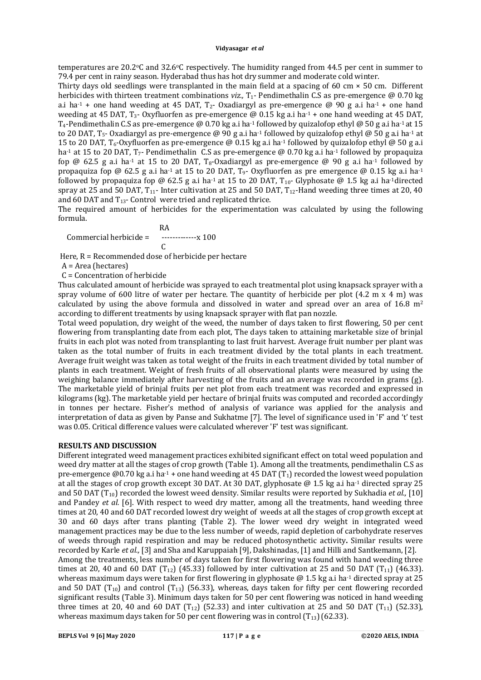#### **Vidyasagar** *et al*

temperatures are 20.2 °C and 32.6 °C respectively. The humidity ranged from 44.5 per cent in summer to 79.4 per cent in rainy season. Hyderabad thus has hot dry summer and moderate cold winter.

Thirty days old seedlings were transplanted in the main field at a spacing of 60 cm  $\times$  50 cm. Different herbicides with thirteen treatment combinations *viz.*, T<sub>1</sub>- Pendimethalin C.S as pre-emergence @ 0.70 kg a.i ha<sup>-1</sup> + one hand weeding at 45 DAT,  $T_2$ - Oxadiargyl as pre-emergence @ 90 g a.i ha<sup>-1</sup> + one hand weeding at 45 DAT, T<sub>3</sub>- Oxyfluorfen as pre-emergence  $\omega$  0.15 kg a.i ha<sup>-1</sup> + one hand weeding at 45 DAT,  $T_4$ -Pendimethalin C.S as pre-emergence @ 0.70 kg a.i ha<sup>-1</sup> followed by quizalofop ethyl @ 50 g a.i ha<sup>-1</sup> at 15 to 20 DAT, T<sub>5</sub>- Oxadiargyl as pre-emergence @ 90 g a.i ha<sup>-1</sup> followed by quizalofop ethyl @ 50 g a.i ha<sup>-1</sup> at 15 to 20 DAT,  $T_6$ -Oxyfluorfen as pre-emergence @ 0.15 kg a.i ha<sup>-1</sup> followed by quizalofop ethyl @ 50 g a.i ha<sup>-1</sup> at 15 to 20 DAT, T<sub>7</sub>- Pendimethalin C.S as pre-emergence @ 0.70 kg a.i ha<sup>-1</sup> followed by propaquiza fop @ 62.5 g a.i ha<sup>-1</sup> at 15 to 20 DAT, T<sub>8</sub>-Oxadiargyl as pre-emergence @ 90 g a.i ha<sup>-1</sup> followed by propaquiza fop @ 62.5 g a.i ha<sup>-1</sup> at 15 to 20 DAT, T<sub>9</sub>- Oxyfluorfen as pre emergence @ 0.15 kg a.i ha<sup>-1</sup> followed by propaquiza fop @ 62.5 g a.i ha<sup>-1</sup> at 15 to 20 DAT,  $T_{10}$ - Glyphosate @ 1.5 kg a.i ha<sup>-1</sup>directed spray at 25 and 50 DAT,  $T_{11}$ - Inter cultivation at 25 and 50 DAT,  $T_{12}$ -Hand weeding three times at 20, 40 and 60 DAT and T13- Control were tried and replicated thrice.

The required amount of herbicides for the experimentation was calculated by using the following formula.

 RA Commercial herbicide = -------------x 100  $\overline{C}$ 

Here, R = Recommended dose of herbicide per hectare

A = Area (hectares)

C = Concentration of herbicide

Thus calculated amount of herbicide was sprayed to each treatmental plot using knapsack sprayer with a spray volume of 600 litre of water per hectare. The quantity of herbicide per plot  $(4.2 \text{ m} \times 4 \text{ m})$  was calculated by using the above formula and dissolved in water and spread over an area of  $16.8 \text{ m}^2$ according to different treatments by using knapsack sprayer with flat pan nozzle.

Total weed population, dry weight of the weed, the number of days taken to first flowering, 50 per cent flowering from transplanting date from each plot, The days taken to attaining marketable size of brinjal fruits in each plot was noted from transplanting to last fruit harvest. Average fruit number per plant was taken as the total number of fruits in each treatment divided by the total plants in each treatment. Average fruit weight was taken as total weight of the fruits in each treatment divided by total number of plants in each treatment. Weight of fresh fruits of all observational plants were measured by using the weighing balance immediately after harvesting of the fruits and an average was recorded in grams (g). The marketable yield of brinjal fruits per net plot from each treatment was recorded and expressed in kilograms (kg). The marketable yield per hectare of brinjal fruits was computed and recorded accordingly in tonnes per hectare. Fisher's method of analysis of variance was applied for the analysis and interpretation of data as given by Panse and Sukhatme [7]. The level of significance used in 'F' and 't' test was 0.05. Critical difference values were calculated wherever 'F' test was significant.

# **RESULTS AND DISCUSSION**

Different integrated weed management practices exhibited significant effect on total weed population and weed dry matter at all the stages of crop growth (Table 1). Among all the treatments, pendimethalin C.S as pre-emergence  $\omega$ 0.70 kg a.i ha<sup>-1</sup> + one hand weeding at 45 DAT (T<sub>1</sub>) recorded the lowest weed population at all the stages of crop growth except 30 DAT. At 30 DAT, glyphosate @ 1.5 kg a.i ha-1 directed spray 25 and 50 DAT (T10) recorded the lowest weed density. Similar results were reported by Sukhadia *et al.,* [10] and Pandey *et al.* [6]. With respect to weed dry matter, among all the treatments, hand weeding three times at 20, 40 and 60 DAT recorded lowest dry weight of weeds at all the stages of crop growth except at 30 and 60 days after trans planting (Table 2). The lower weed dry weight in integrated weed management practices may be due to the less number of weeds, rapid depletion of carbohydrate reserves of weeds through rapid respiration and may be reduced photosynthetic activity**.** Similar results were recorded by Karle *et al.,* [3] and Sha and Karuppaiah [9], Dakshinadas, [1] and Hilli and Santkemann, [2]. Among the treatments, less number of days taken for first flowering was found with hand weeding three times at 20, 40 and 60 DAT  $(T_{12})$  (45.33) followed by inter cultivation at 25 and 50 DAT  $(T_{11})$  (46.33). whereas maximum days were taken for first flowering in glyphosate  $\omega$  1.5 kg a.i ha<sup>-1</sup> directed spray at 25 and 50 DAT (T<sub>10</sub>) and control (T<sub>13</sub>) (56.33), whereas, days taken for fifty per cent flowering recorded significant results (Table 3). Minimum days taken for 50 per cent flowering was noticed in hand weeding three times at 20, 40 and 60 DAT  $(T_{12})$  (52.33) and inter cultivation at 25 and 50 DAT  $(T_{11})$  (52.33), whereas maximum days taken for 50 per cent flowering was in control  $(T_{13})$  (62.33).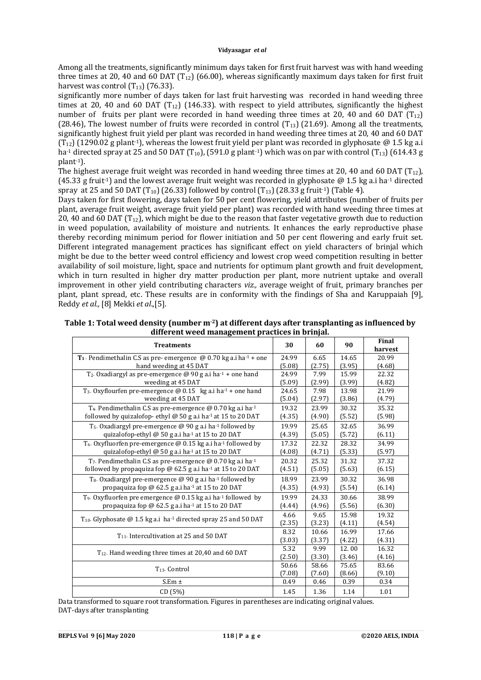#### **Vidyasagar** *et al*

Among all the treatments, significantly minimum days taken for first fruit harvest was with hand weeding three times at 20, 40 and 60 DAT ( $T_{12}$ ) (66.00), whereas significantly maximum days taken for first fruit harvest was control  $(T_{13})$  (76.33).

significantly more number of days taken for last fruit harvesting was recorded in hand weeding three times at 20, 40 and 60 DAT  $(T_{12})$  (146.33). with respect to yield attributes, significantly the highest number of fruits per plant were recorded in hand weeding three times at 20, 40 and 60 DAT  $(T_{12})$ (28.46), The lowest number of fruits were recorded in control  $(T_{13})$  (21.69). Among all the treatments, significantly highest fruit yield per plant was recorded in hand weeding three times at 20, 40 and 60 DAT  $(T_{12})$  (1290.02 g plant<sup>-1</sup>), whereas the lowest fruit yield per plant was recorded in glyphosate @ 1.5 kg a.i ha<sup>-1</sup> directed spray at 25 and 50 DAT (T<sub>10</sub>), (591.0 g plant<sup>-1</sup>) which was on par with control (T<sub>13</sub>) (614.43 g plant-1).

The highest average fruit weight was recorded in hand weeding three times at 20, 40 and 60 DAT ( $T_{12}$ ), (45.33 g fruit<sup>1</sup>) and the lowest average fruit weight was recorded in glyphosate @ 1.5 kg a.i ha<sup>-1</sup> directed spray at 25 and 50 DAT  $(T_{10})$  (26.33) followed by control  $(T_{13})$  (28.33 g fruit<sup>-1</sup>) (Table 4).

Days taken for first flowering, days taken for 50 per cent flowering, yield attributes (number of fruits per plant, average fruit weight, average fruit yield per plant) was recorded with hand weeding three times at 20, 40 and 60 DAT (T<sub>12</sub>), which might be due to the reason that faster vegetative growth due to reduction in weed population, availability of moisture and nutrients. It enhances the early reproductive phase thereby recording minimum period for flower initiation and 50 per cent flowering and early fruit set. Different integrated management practices has significant effect on yield characters of brinjal which might be due to the better weed control efficiency and lowest crop weed competition resulting in better availability of soil moisture, light, space and nutrients for optimum plant growth and fruit development, which in turn resulted in higher dry matter production per plant, more nutrient uptake and overall improvement in other yield contributing characters *viz.,* average weight of fruit, primary branches per plant, plant spread, etc. These results are in conformity with the findings of Sha and Karuppaiah [9], Reddy *et al.,* [8] Mekki *et al*.,[5].

| Table 1: Total weed density (number $m^2$ ) at different days after transplanting as influenced by |
|----------------------------------------------------------------------------------------------------|
| different weed management practices in brinjal.                                                    |

| <b>Treatments</b>                                                                                      |        | 60     | 90     | Final<br>harvest |
|--------------------------------------------------------------------------------------------------------|--------|--------|--------|------------------|
| <b>T</b> <sub>1</sub> . Pendimethalin C.S as pre-emergence $\omega$ 0.70 kg a.i ha <sup>-1</sup> + one | 24.99  | 6.65   | 14.65  | 20.99            |
| hand weeding at 45 DAT                                                                                 |        | (2.75) | (3.95) | (4.68)           |
| T <sub>2</sub> . Oxadiargyl as pre-emergence $@$ 90 g a.i ha <sup>-1</sup> + one hand                  | 24.99  | 7.99   | 15.99  | 22.32            |
| weeding at 45 DAT                                                                                      | (5.09) | (2.99) | (3.99) | (4.82)           |
| T <sub>3</sub> . Oxyflourfen pre-emergence $@$ 0.15 kg a.i ha <sup>-1</sup> + one hand                 | 24.65  | 7.98   | 13.98  | 21.99            |
| weeding at 45 DAT                                                                                      | (5.04) | (2.97) | (3.86) | (4.79)           |
| $T_4$ . Pendimethalin C.S as pre-emergence @ 0.70 kg a.i ha-1                                          |        | 23.99  | 30.32  | 35.32            |
| followed by quizalofop- ethyl @ 50 g a.i ha-1 at 15 to 20 DAT                                          |        | (4.90) | (5.52) | (5.98)           |
| $T_5$ . Oxadiargyl pre-emergence @ 90 g a.i ha <sup>-1</sup> followed by                               | 19.99  | 25.65  | 32.65  | 36.99            |
| quizalofop-ethyl @ 50 g a.i ha <sup>-1</sup> at 15 to 20 DAT                                           | (4.39) | (5.05) | (5.72) | (6.11)           |
| T <sub>6</sub> . Oxyfluorfen pre-emergence @ 0.15 kg a.i ha-1 followed by                              | 17.32  | 22.32  | 28.32  | 34.99            |
| quizalofop-ethyl @ 50 g a.i ha-1 at 15 to 20 DAT                                                       |        | (4.71) | (5.33) | (5.97)           |
| T <sub>7</sub> . Pendimethalin C.S as pre-emergence @ 0.70 kg a.i ha-1                                 | 20.32  | 25.32  | 31.32  | 37.32            |
| followed by propaquiza fop @ 62.5 g a.i ha-1 at 15 to 20 DAT                                           | (4.51) | (5.05) | (5.63) | (6.15)           |
| $T_8$ . Oxadiargyl pre-emergence @ 90 g a.i ha-1 followed by                                           | 18.99  | 23.99  | 30.32  | 36.98            |
| propaquiza fop @ 62.5 g a.i ha-1 at 15 to 20 DAT                                                       | (4.35) | (4.93) | (5.54) | (6.14)           |
| $T_9$ . Oxyfluorfen pre emergence @ 0.15 kg a.i ha <sup>-1</sup> followed by                           |        | 24.33  | 30.66  | 38.99            |
| propaquiza fop @ 62.5 g a.i ha-1 at 15 to 20 DAT                                                       |        | (4.96) | (5.56) | (6.30)           |
| $T_{10}$ . Glyphosate @ 1.5 kg a.i ha <sup>-1</sup> directed spray 25 and 50 DAT                       |        | 9.65   | 15.98  | 19.32            |
|                                                                                                        |        | (3.23) | (4.11) | (4.54)           |
| $T_{11}$ . Intercultivation at 25 and 50 DAT                                                           |        | 10.66  | 16.99  | 17.66            |
|                                                                                                        | (3.03) | (3.37) | (4.22) | (4.31)           |
| T <sub>12</sub> . Hand weeding three times at 20,40 and 60 DAT                                         |        | 9.99   | 12.00  | 16.32            |
|                                                                                                        |        | (3.30) | (3.46) | (4.16)           |
| $T_{13}$ . Control                                                                                     |        | 58.66  | 75.65  | 83.66            |
|                                                                                                        |        | (7.60) | (8.66) | (9.10)           |
| $S.Em \pm$                                                                                             | 0.49   | 0.46   | 0.39   | 0.34             |
| CD(5%)                                                                                                 | 1.45   | 1.36   | 1.14   | 1.01             |

Data transformed to square root transformation. Figures in parentheses are indicating original values. DAT-days after transplanting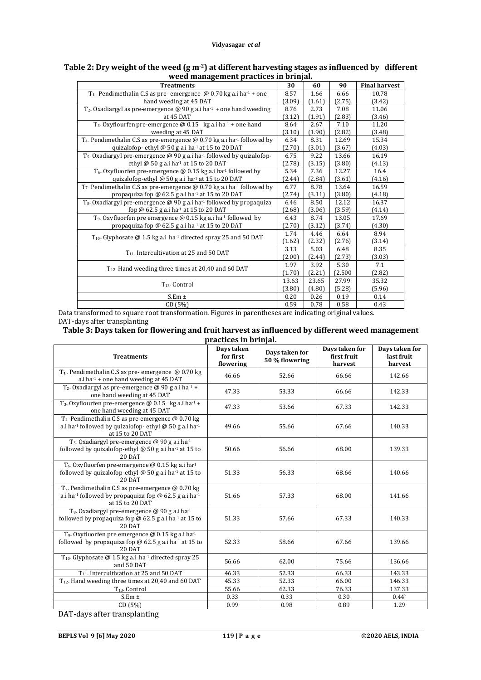| <b>Treatments</b>                                                                                     | 30     | 60     | 90      | <b>Final harvest</b> |
|-------------------------------------------------------------------------------------------------------|--------|--------|---------|----------------------|
| T <sub>1</sub> . Pendimethalin C.S as pre- emergence $@0.70$ kg a.i ha <sup>1</sup> + one             | 8.57   | 1.66   | 6.66    | 10.78                |
| hand weeding at 45 DAT                                                                                | (3.09) | (1.61) | (2.75)  | (3.42)               |
| $T_2$ . Oxadiargyl as pre-emergence @ 90 g a.i ha <sup>-1</sup> + one hand weeding                    | 8.76   | 2.73   | 7.08    | 11.06                |
| at 45 DAT                                                                                             | (3.12) | (1.91) | (2.83)  | (3.46)               |
| $T_3$ . Oxyflourfen pre-emergence @ 0.15 kg a.i ha <sup>-1</sup> + one hand                           | 8.64   | 2.67   | 7.10    | 11.20                |
| weeding at 45 DAT                                                                                     | (3.10) | (1.90) | (2.82)  | (3.48)               |
| T <sub>4</sub> . Pendimethalin C.S as pre-emergence $\omega$ 0.70 kg a.i ha <sup>-1</sup> followed by | 6.34   | 8.31   | 12.69   | 15.34                |
| quizalofop-ethyl @ 50 g a.i ha <sup>-1</sup> at 15 to 20 DAT                                          | (2.70) | (3.01) | (3.67)  | (4.03)               |
| $T_5$ . Oxadiargyl pre-emergence @ 90 g a.i ha <sup>-1</sup> followed by quizalofop-                  | 6.75   | 9.22   | 13.66   | 16.19                |
| ethyl @ 50 g a.i ha <sup>-1</sup> at 15 to 20 DAT                                                     | (2.78) | (3.15) | (3.80)  | (4.13)               |
| T <sub>6</sub> . Oxyfluorfen pre-emergence $\omega$ 0.15 kg a.i ha <sup>1</sup> followed by           | 5.34   | 7.36   | 12.27   | 16.4                 |
| quizalofop-ethyl @ 50 g a.i ha 1 at 15 to 20 DAT                                                      | (2.44) | (2.84) | (3.61)  | (4.16)               |
| $T_7$ . Pendimethalin C.S as pre-emergence @ 0.70 kg a.i ha <sup>-1</sup> followed by                 | 6.77   | 8.78   | 13.64   | 16.59                |
| propaquiza fop @ 62.5 g a.i ha $1$ at 15 to 20 DAT                                                    | (2.74) | (3.11) | (3.80)  | (4.18)               |
| $T_8$ . Oxadiargyl pre-emergence @ 90 g a.i ha <sup>-1</sup> followed by propaquiza                   | 6.46   | 8.50   | 12.12   | 16.37                |
| fop @ 62.5 g a.i ha <sup>-1</sup> at 15 to 20 DAT                                                     | (2.68) | (3.06) | (3.59)  | (4.14)               |
| T <sub>9</sub> . Oxyfluorfen pre emergence $\omega$ 0.15 kg a.i ha <sup>-1</sup> followed by          | 6.43   | 8.74   | 13.05   | 17.69                |
| propaquiza fop $\omega$ 62.5 g a.i ha <sup>-1</sup> at 15 to 20 DAT                                   |        | (3.12) | (3.74)  | (4.30)               |
| $T_{10}$ . Glyphosate @ 1.5 kg a.i ha <sup>1</sup> directed spray 25 and 50 DAT                       |        | 4.46   | 6.64    | 8.94                 |
|                                                                                                       |        | (2.32) | (2.76)  | (3.14)               |
| T <sub>11</sub> . Intercultivation at 25 and 50 DAT                                                   |        | 5.03   | 6.48    | 8.35                 |
|                                                                                                       |        | (2.44) | (2.73)  | (3.03)               |
| T <sub>12</sub> . Hand weeding three times at 20,40 and 60 DAT                                        |        | 3.92   | 5.30    | 7.1                  |
|                                                                                                       |        | (2.21) | (2.500) | (2.82)               |
|                                                                                                       |        | 23.65  | 27.99   | 35.32                |
| T <sub>13</sub> Control                                                                               | (3.80) | (4.80) | (5.28)  | (5.96)               |
| $S.Em \pm$                                                                                            | 0.20   | 0.26   | 0.19    | 0.14                 |
| CD (5%)                                                                                               | 0.59   | 0.78   | 0.58    | 0.43                 |

## **Table 2: Dry weight of the weed (g m-2) at different harvesting stages as influenced by different weed management practices in brinjal.**

Data transformed to square root transformation. Figures in parentheses are indicating original values. DAT-days after transplanting

**Table 3: Days taken for flowering and fruit harvest as influenced by different weed management** 

| practices in brinjal. |  |  |  |
|-----------------------|--|--|--|
|-----------------------|--|--|--|

| <b>Treatments</b>                                                                                                                                                 | Days taken<br>for first<br>flowering | Days taken for<br>50 % flowering | Days taken for<br>first fruit<br>harvest | Days taken for<br>last fruit<br>harvest |
|-------------------------------------------------------------------------------------------------------------------------------------------------------------------|--------------------------------------|----------------------------------|------------------------------------------|-----------------------------------------|
| T <sub>1</sub> . Pendimethalin C.S as pre-emergence $@0.70$ kg<br>a.i ha $-1$ + one hand weeding at 45 DAT                                                        | 46.66                                | 52.66                            | 66.66                                    | 142.66                                  |
| T <sub>2</sub> . Oxadiargyl as pre-emergence $\omega$ 90 g a.i ha <sup>-1</sup> +<br>one hand weeding at 45 DAT                                                   | 47.33                                | 53.33                            | 66.66                                    | 142.33                                  |
| T <sub>3</sub> . Oxyflourfen pre-emergence $@$ 0.15 kg a.i ha <sup>1</sup> +<br>one hand weeding at 45 DAT                                                        | 47.33                                | 53.66                            | 67.33                                    | 142.33                                  |
| T <sub>4</sub> . Pendimethalin C.S as pre-emergence @ 0.70 kg<br>a.i ha <sup>-1</sup> followed by quizalofop-ethyl @ 50 g a.i ha <sup>-1</sup><br>at 15 to 20 DAT | 49.66                                | 55.66                            | 67.66                                    | 140.33                                  |
| T <sub>5</sub> . Oxadiargyl pre-emergence @ 90 g a.i ha <sup>-1</sup><br>followed by quizalofop-ethyl $\omega$ 50 g a.i ha <sup>-1</sup> at 15 to<br>20 DAT       | 50.66                                | 56.66                            | 68.00                                    | 139.33                                  |
| T <sub>6</sub> . Oxyfluorfen pre-emergence @ 0.15 kg a.i ha <sup>-1</sup><br>followed by quizalofop-ethyl $\omega$ 50 g a.i ha <sup>-1</sup> at 15 to<br>20 DAT   | 51.33                                | 56.33                            | 68.66                                    | 140.66                                  |
| $T7$ . Pendimethalin C.S as pre-emergence @ 0.70 kg<br>a.i ha <sup>-1</sup> followed by propaquiza fop @ 62.5 g a.i ha <sup>-1</sup><br>at 15 to 20 DAT           | 51.66                                | 57.33                            | 68.00                                    | 141.66                                  |
| T <sub>8</sub> . Oxadiargyl pre-emergence @ 90 g a.i ha <sup>-1</sup><br>followed by propaguiza fop $\omega$ 62.5 g a.i ha <sup>-1</sup> at 15 to<br>20 DAT       | 51.33                                | 57.66                            | 67.33                                    | 140.33                                  |
| T <sub>9</sub> . Oxyfluorfen pre emergence @ 0.15 kg a.i ha <sup>-1</sup><br>followed by propaquiza fop @ 62.5 g a.i ha-1 at 15 to<br>20 DAT                      | 52.33                                | 58.66                            | 67.66                                    | 139.66                                  |
| $T_{10}$ . Glyphosate @ 1.5 kg a.i ha <sup>1</sup> directed spray 25<br>and 50 DAT                                                                                | 56.66                                | 62.00                            | 75.66                                    | 136.66                                  |
| T <sub>11</sub> . Intercultivation at 25 and 50 DAT                                                                                                               | 46.33                                | 52.33                            | 66.33                                    | 143.33                                  |
| T <sub>12</sub> . Hand weeding three times at 20,40 and 60 DAT                                                                                                    | 45.33                                | 52.33                            | 66.00                                    | 146.33                                  |
| T <sub>13</sub> Control                                                                                                                                           | 55.66                                | 62.33                            | 76.33                                    | 137.33                                  |
| $S.Em \pm$                                                                                                                                                        | 0.33                                 | 0.33                             | 0.30                                     | $0.44^{\circ}$                          |
| CD (5%)                                                                                                                                                           | 0.99                                 | 0.98                             | 0.89                                     | 1.29                                    |

DAT-days after transplanting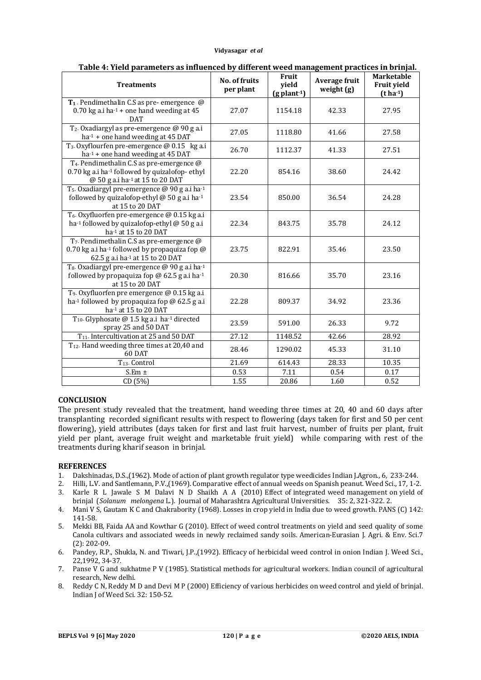#### **Vidyasagar** *et al*

| <b>Treatments</b>                                                                                                                                            | <b>No. of fruits</b><br>per plant | Fruit<br>yield<br>$(g$ plant-1) | Average fruit<br>weight (g) | Marketable<br><b>Fruit yield</b><br>$(t ha-1)$ |
|--------------------------------------------------------------------------------------------------------------------------------------------------------------|-----------------------------------|---------------------------------|-----------------------------|------------------------------------------------|
| T <sub>1</sub> . Pendimethalin C.S as pre-emergence $@$<br>$0.70$ kg a.i ha $-1$ + one hand weeding at 45<br><b>DAT</b>                                      | 27.07                             | 1154.18                         | 42.33                       | 27.95                                          |
| T <sub>2</sub> . Oxadiargyl as pre-emergence @ 90 g a.i<br>$ha-1$ + one hand weeding at 45 DAT                                                               | 27.05                             | 1118.80                         | 41.66                       | 27.58                                          |
| T <sub>3</sub> . Oxyflourfen pre-emergence @ 0.15 kg a.i<br>ha-1 + one hand weeding at 45 DAT                                                                | 26.70                             | 1112.37                         | 41.33                       | 27.51                                          |
| T <sub>4</sub> . Pendimethalin C.S as pre-emergence @<br>0.70 kg a.i ha-1 followed by quizalofop-ethyl<br>@ 50 g a.i ha-1 at 15 to 20 DAT                    | 22.20                             | 854.16                          | 38.60                       | 24.42                                          |
| T <sub>5</sub> . Oxadiargyl pre-emergence @ 90 g a.i ha-1<br>followed by quizalofop-ethyl $@$ 50 g a.i ha-1<br>at 15 to 20 DAT                               | 23.54                             | 850.00                          | 36.54                       | 24.28                                          |
| T <sub>6</sub> . Oxyfluorfen pre-emergence @ 0.15 kg a.i<br>ha-1 followed by quizalofop-ethyl @ 50 g a.i<br>ha-1 at 15 to 20 DAT                             | 22.34                             | 843.75                          | 35.78                       | 24.12                                          |
| T <sub>7</sub> . Pendimethalin C.S as pre-emergence @<br>0.70 kg a.i ha <sup>-1</sup> followed by propaquiza fop $\omega$<br>62.5 g a.i ha-1 at 15 to 20 DAT | 23.75                             | 822.91                          | 35.46                       | 23.50                                          |
| T <sub>8</sub> . Oxadiargyl pre-emergence @ 90 g a.i ha-1<br>followed by propaquiza fop @ 62.5 g a.i ha-1<br>at 15 to 20 DAT                                 | 20.30                             | 816.66                          | 35.70                       | 23.16                                          |
| T <sub>9</sub> . Oxyfluorfen pre emergence @ 0.15 kg a.i<br>ha-1 followed by propaquiza fop $\omega$ 62.5 g a.i<br>ha-1 at 15 to 20 DAT                      | 22.28                             | 809.37                          | 34.92                       | 23.36                                          |
| T <sub>10</sub> . Glyphosate @ 1.5 kg a.i ha-1 directed<br>spray 25 and 50 DAT                                                                               | 23.59                             | 591.00                          | 26.33                       | 9.72                                           |
| T <sub>11</sub> . Intercultivation at 25 and 50 DAT                                                                                                          | 27.12                             | 1148.52                         | 42.66                       | 28.92                                          |
| T <sub>12</sub> . Hand weeding three times at 20,40 and<br>60 DAT                                                                                            | 28.46                             | 1290.02                         | 45.33                       | 31.10                                          |
| $T_{13}$ . Control                                                                                                                                           | 21.69                             | 614.43                          | 28.33                       | 10.35                                          |
| $S.Em \pm$                                                                                                                                                   | 0.53                              | 7.11                            | 0.54                        | 0.17                                           |
| CD (5%)                                                                                                                                                      | 1.55                              | 20.86                           | 1.60                        | 0.52                                           |

### **Table 4: Yield parameters as influenced by different weed management practices in brinjal.**

## **CONCLUSION**

The present study revealed that the treatment, hand weeding three times at 20, 40 and 60 days after transplanting recorded significant results with respect to flowering (days taken for first and 50 per cent flowering), yield attributes (days taken for first and last fruit harvest, number of fruits per plant, fruit yield per plant, average fruit weight and marketable fruit yield) while comparing with rest of the treatments during kharif season in brinjal.

## **REFERENCES**

- 1. Dakshinadas, D.S.,(1962). Mode of action of plant growth regulator type weedicides Indian J.Agron., 6, 233-244.
- 2. Hilli, L.V. and Santlemann, P.V.,(1969). Comparative effect of annual weeds on Spanish peanut. Weed Sci., 17, 1-2.
- 3. Karle R L Jawale S M Dalavi N D Shaikh A A (2010) Effect of integrated weed management on yield of brinjal (*Solanum melongena* L.). Journal of Maharashtra Agricultural Universities. 35: 2, 321-322. 2.
- 4. Mani V S, Gautam K C and Chakrabority (1968). Losses in crop yield in India due to weed growth. PANS (C) 142: 141-58.
- 5. Mekki BB, Faida AA and Kowthar G (2010). Effect of weed control treatments on yield and seed quality of some Canola cultivars and associated weeds in newly reclaimed sandy soils. American-Eurasian J. Agri. & Env. Sci.7 (2): 202-09.
- 6. Pandey, R.P., Shukla, N. and Tiwari, J.P.,(1992). Efficacy of herbicidal weed control in onion Indian J. Weed Sci., 22,1992, 34-37.
- 7. Panse V G and sukhatme P V (1985). Statistical methods for agricultural workers. Indian council of agricultural research, New delhi.
- 8. Reddy C N, Reddy M D and Devi M P (2000) Efficiency of various herbicides on weed control and yield of brinjal. Indian J of Weed Sci. 32: 150-52.